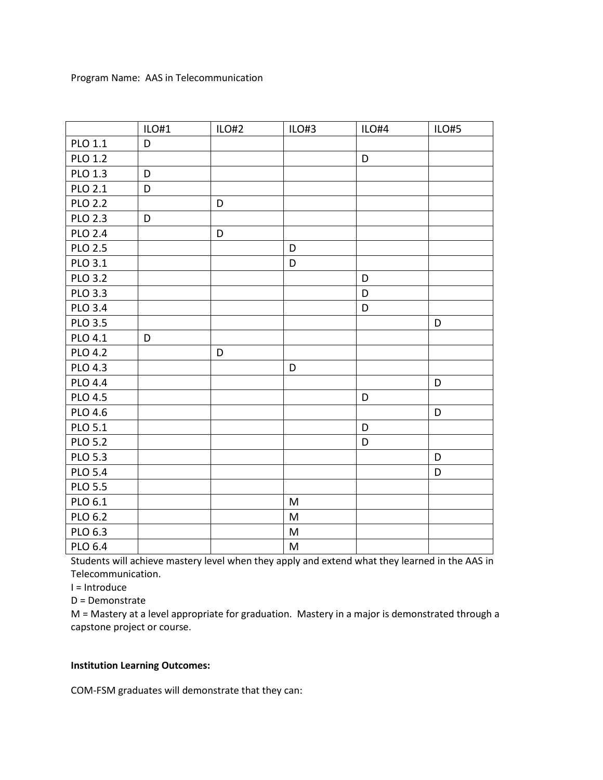|                | ILO#1 | ILO#2 | ILO#3 | ILO#4 | ILO#5 |
|----------------|-------|-------|-------|-------|-------|
| PLO 1.1        | D     |       |       |       |       |
| <b>PLO 1.2</b> |       |       |       | D     |       |
| PLO 1.3        | D     |       |       |       |       |
| <b>PLO 2.1</b> | D     |       |       |       |       |
| <b>PLO 2.2</b> |       | D     |       |       |       |
| <b>PLO 2.3</b> | D     |       |       |       |       |
| <b>PLO 2.4</b> |       | D     |       |       |       |
| <b>PLO 2.5</b> |       |       | D     |       |       |
| PLO 3.1        |       |       | D     |       |       |
| <b>PLO 3.2</b> |       |       |       | D     |       |
| PLO 3.3        |       |       |       | D     |       |
| <b>PLO 3.4</b> |       |       |       | D     |       |
| <b>PLO 3.5</b> |       |       |       |       | D     |
| PLO 4.1        | D     |       |       |       |       |
| <b>PLO 4.2</b> |       | D     |       |       |       |
| <b>PLO 4.3</b> |       |       | D     |       |       |
| <b>PLO 4.4</b> |       |       |       |       | D     |
| <b>PLO 4.5</b> |       |       |       | D     |       |
| <b>PLO 4.6</b> |       |       |       |       | D     |
| PLO 5.1        |       |       |       | D     |       |
| <b>PLO 5.2</b> |       |       |       | D     |       |
| <b>PLO 5.3</b> |       |       |       |       | D     |
| <b>PLO 5.4</b> |       |       |       |       | D     |
| <b>PLO 5.5</b> |       |       |       |       |       |
| PLO 6.1        |       |       | M     |       |       |
| PLO 6.2        |       |       | M     |       |       |
| PLO 6.3        |       |       | M     |       |       |
| PLO 6.4        |       |       | M     |       |       |

Students will achieve mastery level when they apply and extend what they learned in the AAS in Telecommunication.

I = Introduce

D = Demonstrate

M = Mastery at a level appropriate for graduation. Mastery in a major is demonstrated through a capstone project or course.

# **Institution Learning Outcomes:**

COM-FSM graduates will demonstrate that they can: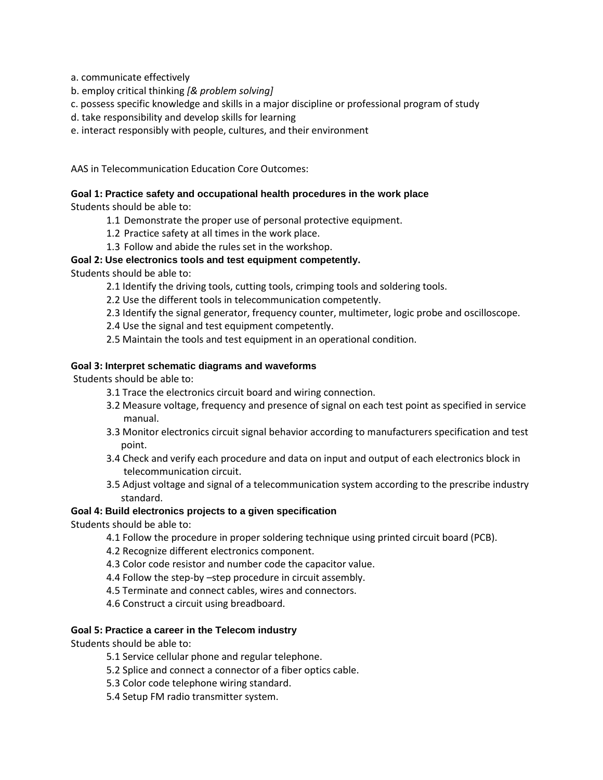a. communicate effectively

- b. employ critical thinking *[& problem solving]*
- c. possess specific knowledge and skills in a major discipline or professional program of study
- d. take responsibility and develop skills for learning
- e. interact responsibly with people, cultures, and their environment

AAS in Telecommunication Education Core Outcomes:

## **Goal 1: Practice safety and occupational health procedures in the work place**

Students should be able to:

- 1.1 Demonstrate the proper use of personal protective equipment.
- 1.2 Practice safety at all times in the work place.
- 1.3 Follow and abide the rules set in the workshop.

### **Goal 2: Use electronics tools and test equipment competently.**

Students should be able to:

- 2.1 Identify the driving tools, cutting tools, crimping tools and soldering tools.
- 2.2 Use the different tools in telecommunication competently.
- 2.3 Identify the signal generator, frequency counter, multimeter, logic probe and oscilloscope.
- 2.4 Use the signal and test equipment competently.
- 2.5 Maintain the tools and test equipment in an operational condition.

### **Goal 3: Interpret schematic diagrams and waveforms**

Students should be able to:

- 3.1 Trace the electronics circuit board and wiring connection.
- 3.2 Measure voltage, frequency and presence of signal on each test point as specified in service manual.
- 3.3 Monitor electronics circuit signal behavior according to manufacturers specification and test point.
- 3.4 Check and verify each procedure and data on input and output of each electronics block in telecommunication circuit.
- 3.5 Adjust voltage and signal of a telecommunication system according to the prescribe industry standard.

#### **Goal 4: Build electronics projects to a given specification**

Students should be able to:

- 4.1 Follow the procedure in proper soldering technique using printed circuit board (PCB).
- 4.2 Recognize different electronics component.
- 4.3 Color code resistor and number code the capacitor value.
- 4.4 Follow the step-by –step procedure in circuit assembly.
- 4.5 Terminate and connect cables, wires and connectors.
- 4.6 Construct a circuit using breadboard.

#### **Goal 5: Practice a career in the Telecom industry**

Students should be able to:

- 5.1 Service cellular phone and regular telephone.
- 5.2 Splice and connect a connector of a fiber optics cable.
- 5.3 Color code telephone wiring standard.
- 5.4 Setup FM radio transmitter system.